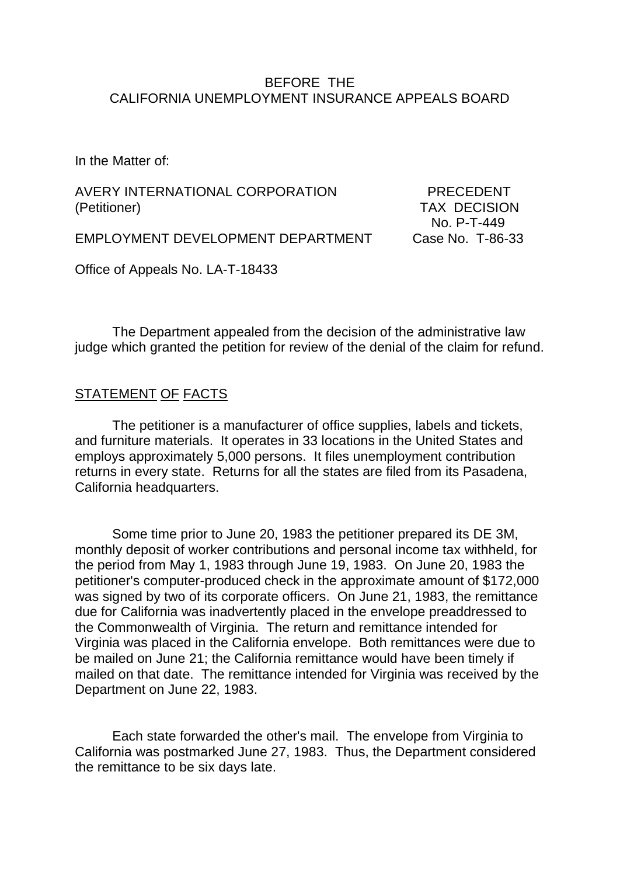#### BEFORE THE CALIFORNIA UNEMPLOYMENT INSURANCE APPEALS BOARD

In the Matter of:

AVERY INTERNATIONAL CORPORATION PRECEDENT (Petitioner) TAX DECISION

No. P-T-449

EMPLOYMENT DEVELOPMENT DEPARTMENT Case No. T-86-33

Office of Appeals No. LA-T-18433

The Department appealed from the decision of the administrative law judge which granted the petition for review of the denial of the claim for refund.

### STATEMENT OF FACTS

The petitioner is a manufacturer of office supplies, labels and tickets, and furniture materials. It operates in 33 locations in the United States and employs approximately 5,000 persons. It files unemployment contribution returns in every state. Returns for all the states are filed from its Pasadena, California headquarters.

Some time prior to June 20, 1983 the petitioner prepared its DE 3M, monthly deposit of worker contributions and personal income tax withheld, for the period from May 1, 1983 through June 19, 1983. On June 20, 1983 the petitioner's computer-produced check in the approximate amount of \$172,000 was signed by two of its corporate officers. On June 21, 1983, the remittance due for California was inadvertently placed in the envelope preaddressed to the Commonwealth of Virginia. The return and remittance intended for Virginia was placed in the California envelope. Both remittances were due to be mailed on June 21; the California remittance would have been timely if mailed on that date. The remittance intended for Virginia was received by the Department on June 22, 1983.

Each state forwarded the other's mail. The envelope from Virginia to California was postmarked June 27, 1983. Thus, the Department considered the remittance to be six days late.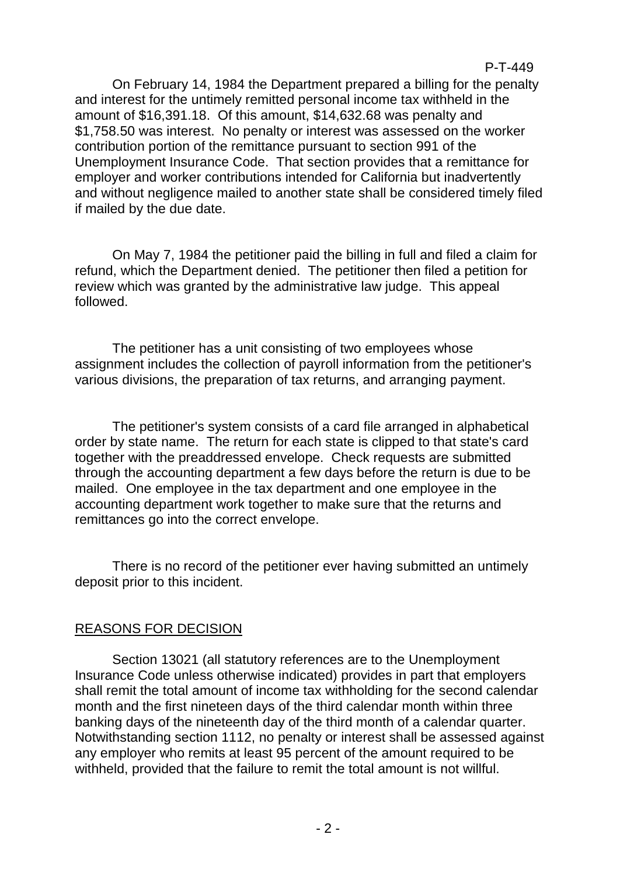### P-T-449

On February 14, 1984 the Department prepared a billing for the penalty and interest for the untimely remitted personal income tax withheld in the amount of \$16,391.18. Of this amount, \$14,632.68 was penalty and \$1,758.50 was interest. No penalty or interest was assessed on the worker contribution portion of the remittance pursuant to section 991 of the Unemployment Insurance Code. That section provides that a remittance for employer and worker contributions intended for California but inadvertently and without negligence mailed to another state shall be considered timely filed if mailed by the due date.

On May 7, 1984 the petitioner paid the billing in full and filed a claim for refund, which the Department denied. The petitioner then filed a petition for review which was granted by the administrative law judge. This appeal followed.

The petitioner has a unit consisting of two employees whose assignment includes the collection of payroll information from the petitioner's various divisions, the preparation of tax returns, and arranging payment.

The petitioner's system consists of a card file arranged in alphabetical order by state name. The return for each state is clipped to that state's card together with the preaddressed envelope. Check requests are submitted through the accounting department a few days before the return is due to be mailed. One employee in the tax department and one employee in the accounting department work together to make sure that the returns and remittances go into the correct envelope.

There is no record of the petitioner ever having submitted an untimely deposit prior to this incident.

## REASONS FOR DECISION

Section 13021 (all statutory references are to the Unemployment Insurance Code unless otherwise indicated) provides in part that employers shall remit the total amount of income tax withholding for the second calendar month and the first nineteen days of the third calendar month within three banking days of the nineteenth day of the third month of a calendar quarter. Notwithstanding section 1112, no penalty or interest shall be assessed against any employer who remits at least 95 percent of the amount required to be withheld, provided that the failure to remit the total amount is not willful.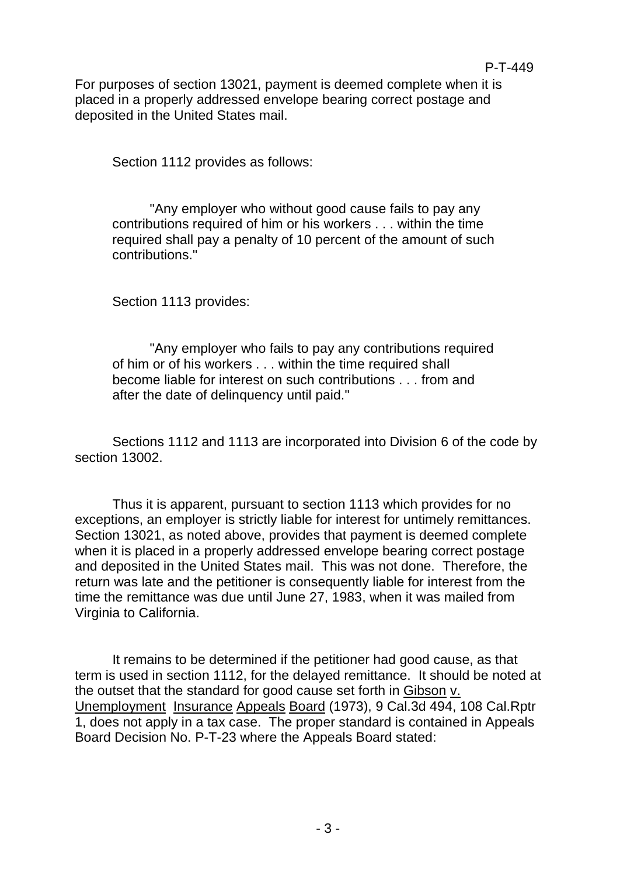For purposes of section 13021, payment is deemed complete when it is placed in a properly addressed envelope bearing correct postage and deposited in the United States mail.

Section 1112 provides as follows:

"Any employer who without good cause fails to pay any contributions required of him or his workers . . . within the time required shall pay a penalty of 10 percent of the amount of such contributions."

Section 1113 provides:

"Any employer who fails to pay any contributions required of him or of his workers . . . within the time required shall become liable for interest on such contributions . . . from and after the date of delinquency until paid."

Sections 1112 and 1113 are incorporated into Division 6 of the code by section 13002.

Thus it is apparent, pursuant to section 1113 which provides for no exceptions, an employer is strictly liable for interest for untimely remittances. Section 13021, as noted above, provides that payment is deemed complete when it is placed in a properly addressed envelope bearing correct postage and deposited in the United States mail. This was not done. Therefore, the return was late and the petitioner is consequently liable for interest from the time the remittance was due until June 27, 1983, when it was mailed from Virginia to California.

It remains to be determined if the petitioner had good cause, as that term is used in section 1112, for the delayed remittance. It should be noted at the outset that the standard for good cause set forth in Gibson v. Unemployment Insurance Appeals Board (1973), 9 Cal.3d 494, 108 Cal.Rptr 1, does not apply in a tax case. The proper standard is contained in Appeals Board Decision No. P-T-23 where the Appeals Board stated: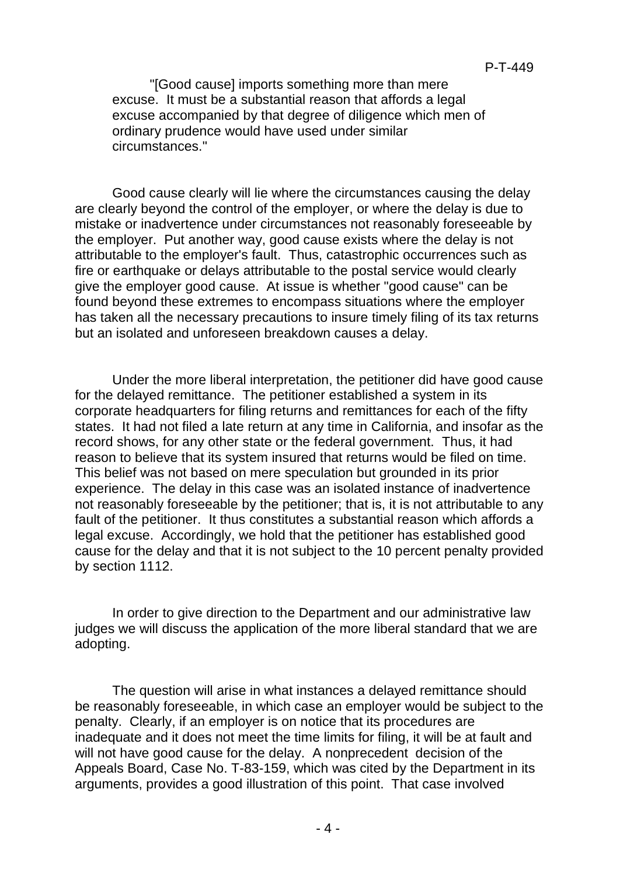"[Good cause] imports something more than mere excuse. It must be a substantial reason that affords a legal excuse accompanied by that degree of diligence which men of ordinary prudence would have used under similar circumstances."

Good cause clearly will lie where the circumstances causing the delay are clearly beyond the control of the employer, or where the delay is due to mistake or inadvertence under circumstances not reasonably foreseeable by the employer. Put another way, good cause exists where the delay is not attributable to the employer's fault. Thus, catastrophic occurrences such as fire or earthquake or delays attributable to the postal service would clearly give the employer good cause. At issue is whether "good cause" can be found beyond these extremes to encompass situations where the employer has taken all the necessary precautions to insure timely filing of its tax returns but an isolated and unforeseen breakdown causes a delay.

Under the more liberal interpretation, the petitioner did have good cause for the delayed remittance. The petitioner established a system in its corporate headquarters for filing returns and remittances for each of the fifty states. It had not filed a late return at any time in California, and insofar as the record shows, for any other state or the federal government. Thus, it had reason to believe that its system insured that returns would be filed on time. This belief was not based on mere speculation but grounded in its prior experience. The delay in this case was an isolated instance of inadvertence not reasonably foreseeable by the petitioner; that is, it is not attributable to any fault of the petitioner. It thus constitutes a substantial reason which affords a legal excuse. Accordingly, we hold that the petitioner has established good cause for the delay and that it is not subject to the 10 percent penalty provided by section 1112.

In order to give direction to the Department and our administrative law judges we will discuss the application of the more liberal standard that we are adopting.

The question will arise in what instances a delayed remittance should be reasonably foreseeable, in which case an employer would be subject to the penalty. Clearly, if an employer is on notice that its procedures are inadequate and it does not meet the time limits for filing, it will be at fault and will not have good cause for the delay. A nonprecedent decision of the Appeals Board, Case No. T-83-159, which was cited by the Department in its arguments, provides a good illustration of this point. That case involved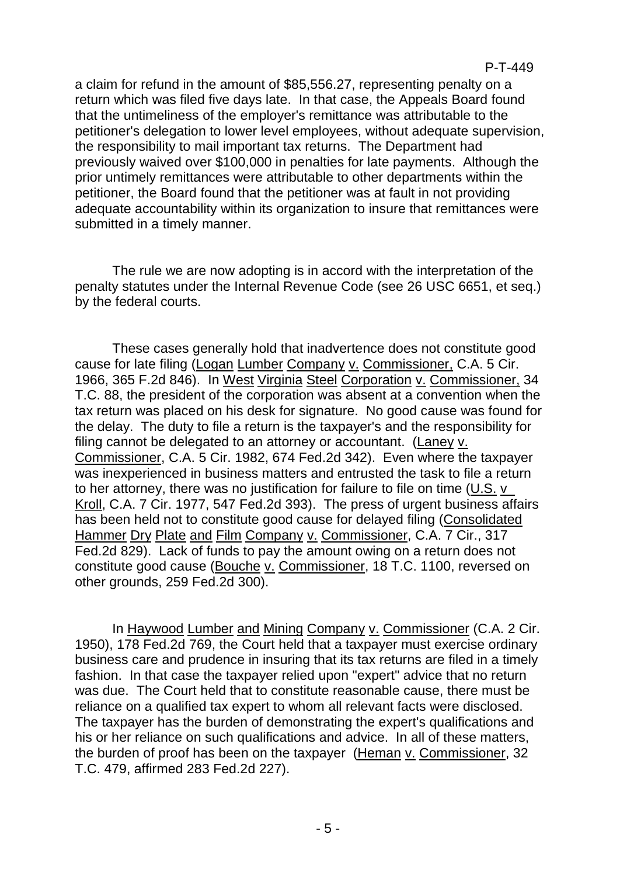a claim for refund in the amount of \$85,556.27, representing penalty on a return which was filed five days late. In that case, the Appeals Board found that the untimeliness of the employer's remittance was attributable to the petitioner's delegation to lower level employees, without adequate supervision, the responsibility to mail important tax returns. The Department had previously waived over \$100,000 in penalties for late payments. Although the prior untimely remittances were attributable to other departments within the petitioner, the Board found that the petitioner was at fault in not providing adequate accountability within its organization to insure that remittances were submitted in a timely manner.

The rule we are now adopting is in accord with the interpretation of the penalty statutes under the Internal Revenue Code (see 26 USC 6651, et seq.) by the federal courts.

These cases generally hold that inadvertence does not constitute good cause for late filing (Logan Lumber Company v. Commissioner, C.A. 5 Cir. 1966, 365 F.2d 846). In West Virginia Steel Corporation v. Commissioner, 34 T.C. 88, the president of the corporation was absent at a convention when the tax return was placed on his desk for signature. No good cause was found for the delay. The duty to file a return is the taxpayer's and the responsibility for filing cannot be delegated to an attorney or accountant. (Laney v. Commissioner, C.A. 5 Cir. 1982, 674 Fed.2d 342). Even where the taxpayer was inexperienced in business matters and entrusted the task to file a return to her attorney, there was no justification for failure to file on time (U.S. v\_ Kroll, C.A. 7 Cir. 1977, 547 Fed.2d 393). The press of urgent business affairs has been held not to constitute good cause for delayed filing (Consolidated Hammer Dry Plate and Film Company v. Commissioner, C.A. 7 Cir., 317 Fed.2d 829). Lack of funds to pay the amount owing on a return does not constitute good cause (Bouche v. Commissioner, 18 T.C. 1100, reversed on other grounds, 259 Fed.2d 300).

In Haywood Lumber and Mining Company v. Commissioner (C.A. 2 Cir. 1950), 178 Fed.2d 769, the Court held that a taxpayer must exercise ordinary business care and prudence in insuring that its tax returns are filed in a timely fashion. In that case the taxpayer relied upon "expert" advice that no return was due. The Court held that to constitute reasonable cause, there must be reliance on a qualified tax expert to whom all relevant facts were disclosed. The taxpayer has the burden of demonstrating the expert's qualifications and his or her reliance on such qualifications and advice. In all of these matters, the burden of proof has been on the taxpayer (Heman v. Commissioner, 32 T.C. 479, affirmed 283 Fed.2d 227).